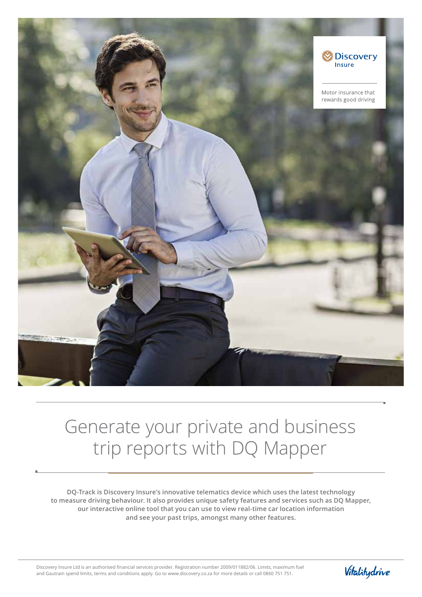

## Generate your private and business trip reports with DQ Mapper

**DQ-Track is Discovery Insure's innovative telematics device which uses the latest technology to measure driving behaviour. It also provides unique safety features and services such as DQ Mapper, our interactive online tool that you can use to view real-time car location information and see your past trips, amongst many other features.**

Discovery Insure Ltd is an authorised financial services provider. Registration number 2009/011882/06. Limits, maximum fuel and Gautrain spend limits, terms and conditions apply. Go to www.discovery.co.za for more details or call 0860 751 751.

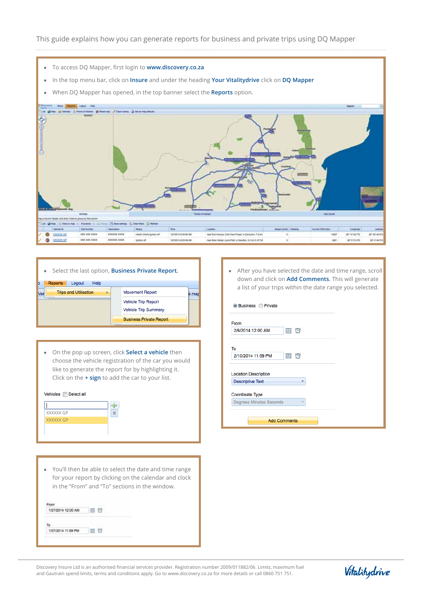- To access DQ Mapper, first login to **www.discovery.co.za**
- In the top menu bar, click on **Insure** and under the heading **Your Vitalitydrive** click on **DQ Mapper**
- When DQ Mapper has opened, in the top banner select the **Reports** option.



|     |                |                              |      | Select the last option, <b>Business Private Report.</b> |       |
|-----|----------------|------------------------------|------|---------------------------------------------------------|-------|
|     | <b>Reports</b> | Logout                       | Help |                                                         |       |
| Vel |                | <b>Trips and Utilisation</b> |      | <b>Movement Report</b>                                  | s mad |
|     |                |                              |      | <b>Vehicle Trip Report</b>                              |       |
|     |                |                              |      | <b>Vehicle Trip Summary</b>                             |       |
|     |                |                              |      | <b>Business Private Report</b>                          |       |

• On the pop up screen, click **Select a vehicle** then choose the vehicle registration of the car you would like to generate the report for by highlighting it. Click on the **+ sign** to add the car to your list.



You'll then be able to select the date and time range for your report by clicking on the calendar and clock in the "From" and "To" sections in the window.

| 1/27/2014 12:00 AM |  |
|--------------------|--|
|                    |  |
|                    |  |

After you have selected the date and time range, scroll down and click on **Add Comments**. This will generate a list of your trips within the date range you selected.

| From                           |                        |  |
|--------------------------------|------------------------|--|
| 2/6/2014 12:00 AM              | $\mathbf{\Theta}$<br>圃 |  |
| To                             |                        |  |
|                                |                        |  |
| 2/10/2014 11:59 PM             | $\circ$<br>囲           |  |
| <b>Location Description</b>    |                        |  |
| <b>Descriptive Text</b>        | ۷                      |  |
| Coordinate Type                |                        |  |
| <b>Degrees Minutes Seconds</b> | ÷                      |  |